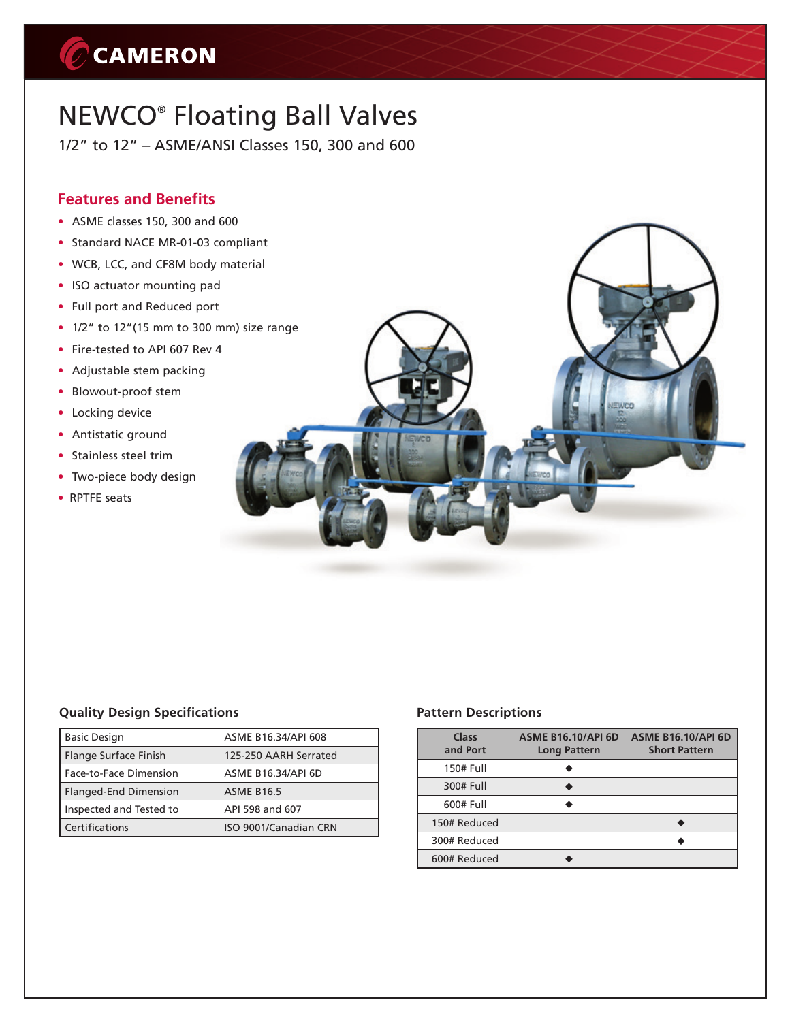# C CAMERON

## NEWCO® Floating Ball Valves

1/2" to 12" – ASME/ANSI Classes 150, 300 and 600

### **Features and Benefits**

- ASME classes 150, 300 and 600
- Standard NACE MR-01-03 compliant
- WCB, LCC, and CF8M body material
- ISO actuator mounting pad
- Full port and Reduced port
- $\cdot$  1/2" to 12"(15 mm to 300 mm) size range
- Fire-tested to API 607 Rev 4
- Adjustable stem packing
- Blowout-proof stem
- Locking device
- Antistatic ground
- Stainless steel trim
- Two-piece body design
- RPTFE seats

#### **Quality Design Specifications**

| <b>Basic Design</b>          | ASME B16.34/API 608   |
|------------------------------|-----------------------|
| Flange Surface Finish        | 125-250 AARH Serrated |
| Face-to-Face Dimension       | ASME B16.34/API 6D    |
| <b>Flanged-End Dimension</b> | <b>ASME B16.5</b>     |
| Inspected and Tested to      | API 598 and 607       |
| Certifications               | ISO 9001/Canadian CRN |

#### **Pattern Descriptions**

| Class<br>and Port | <b>ASME B16.10/API 6D</b><br><b>Long Pattern</b> | <b>ASME B16.10/API 6D</b><br><b>Short Pattern</b> |
|-------------------|--------------------------------------------------|---------------------------------------------------|
| 150# Full         |                                                  |                                                   |
| 300# Full         |                                                  |                                                   |
| 600# Full         |                                                  |                                                   |
| 150# Reduced      |                                                  |                                                   |
| 300# Reduced      |                                                  |                                                   |
| 600# Reduced      |                                                  |                                                   |